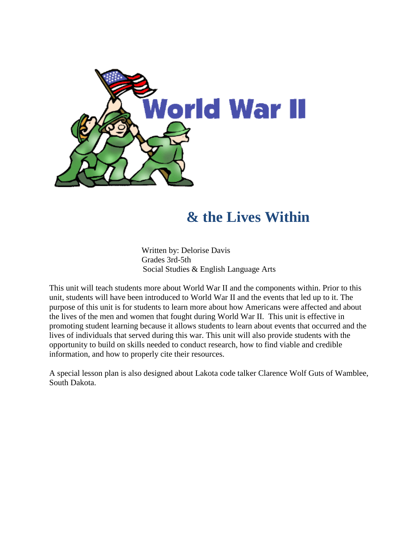

### **& the Lives Within**

Written by: Delorise Davis Grades 3rd-5th Social Studies & English Language Arts

 This unit will teach students more about World War II and the components within. Prior to this unit, students will have been introduced to World War II and the events that led up to it. The promoting student learning because it allows students to learn about events that occurred and the information, and how to properly cite their resources. purpose of this unit is for students to learn more about how Americans were affected and about the lives of the men and women that fought during World War II. This unit is effective in lives of individuals that served during this war. This unit will also provide students with the opportunity to build on skills needed to conduct research, how to find viable and credible

A special lesson plan is also designed about Lakota code talker Clarence Wolf Guts of Wamblee, South Dakota.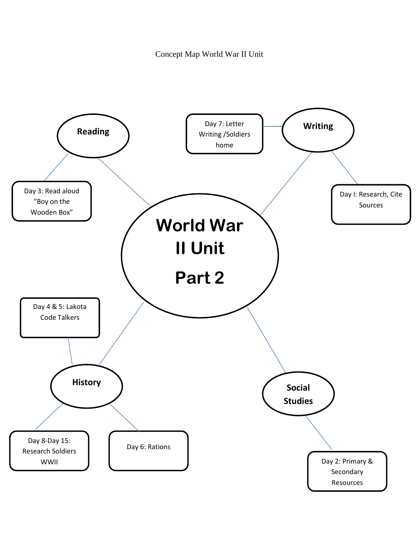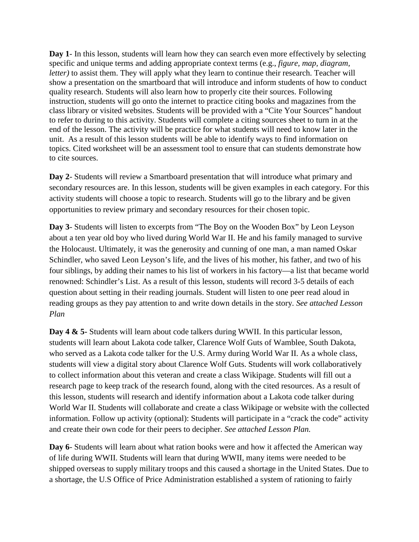end of the lesson. The activity will be practice for what students will need to know later in the to cite sources. **Day 1**- In this lesson, students will learn how they can search even more effectively by selecting specific and unique terms and adding appropriate context terms (e.g., *figure, map, diagram, letter*) to assist them. They will apply what they learn to continue their research. Teacher will show a presentation on the smartboard that will introduce and inform students of how to conduct quality research. Students will also learn how to properly cite their sources. Following instruction, students will go onto the internet to practice citing books and magazines from the class library or visited websites. Students will be provided with a "Cite Your Sources" handout to refer to during to this activity. Students will complete a citing sources sheet to turn in at the unit. As a result of this lesson students will be able to identify ways to find information on topics. Cited worksheet will be an assessment tool to ensure that can students demonstrate how

 secondary resources are. In this lesson, students will be given examples in each category. For this **Day 2**- Students will review a Smartboard presentation that will introduce what primary and activity students will choose a topic to research. Students will go to the library and be given opportunities to review primary and secondary resources for their chosen topic.

 about a ten year old boy who lived during World War II. He and his family managed to survive reading groups as they pay attention to and write down details in the story. *See attached Lesson*  **Day 3**- Students will listen to excerpts from "The Boy on the Wooden Box" by Leon Leyson the Holocaust. Ultimately, it was the generosity and cunning of one man, a man named Oskar Schindler, who saved Leon Leyson's life, and the lives of his mother, his father, and two of his four siblings, by adding their names to his list of workers in his factory—a list that became world renowned: Schindler's List. As a result of this lesson, students will record 3-5 details of each question about setting in their reading journals. Student will listen to one peer read aloud in *Plan* 

 students will view a digital story about Clarence Wolf Guts. Students will work collaboratively research page to keep track of the research found, along with the cited resources. As a result of this lesson, students will research and identify information about a Lakota code talker during World War II. Students will collaborate and create a class Wikipage or website with the collected **Day 4 & 5-** Students will learn about code talkers during WWII. In this particular lesson, students will learn about Lakota code talker, Clarence Wolf Guts of Wamblee, South Dakota, who served as a Lakota code talker for the U.S. Army during World War II. As a whole class, to collect information about this veteran and create a class Wikipage. Students will fill out a information. Follow up activity (optional): Students will participate in a "crack the code" activity and create their own code for their peers to decipher. *See attached Lesson Plan.* 

**Day 6**- Students will learn about what ration books were and how it affected the American way of life during WWII. Students will learn that during WWII, many items were needed to be shipped overseas to supply military troops and this caused a shortage in the United States. Due to a shortage, the U.S Office of Price Administration established a system of rationing to fairly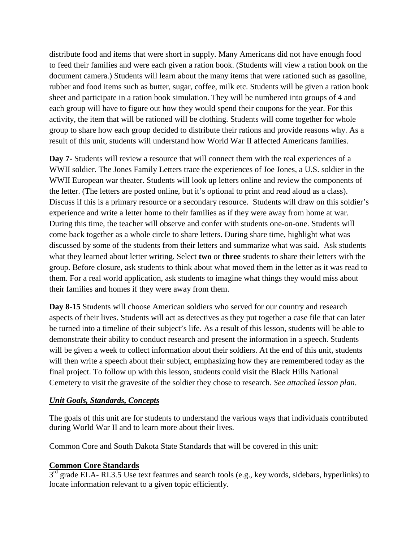group to share how each group decided to distribute their rations and provide reasons why. As a distribute food and items that were short in supply. Many Americans did not have enough food to feed their families and were each given a ration book. (Students will view a ration book on the document camera.) Students will learn about the many items that were rationed such as gasoline, rubber and food items such as butter, sugar, coffee, milk etc. Students will be given a ration book sheet and participate in a ration book simulation. They will be numbered into groups of 4 and each group will have to figure out how they would spend their coupons for the year. For this activity, the item that will be rationed will be clothing. Students will come together for whole result of this unit, students will understand how World War II affected Americans families.

 **Day 7-** Students will review a resource that will connect them with the real experiences of a Discuss if this is a primary resource or a secondary resource. Students will draw on this soldier's come back together as a whole circle to share letters. During share time, highlight what was what they learned about letter writing. Select **two** or **three** students to share their letters with the WWII soldier. The Jones Family Letters trace the experiences of Joe Jones, a U.S. soldier in the WWII European war theater. Students will look up letters online and review the components of the letter. (The letters are posted online, but it's optional to print and read aloud as a class). experience and write a letter home to their families as if they were away from home at war. During this time, the teacher will observe and confer with students one-on-one. Students will discussed by some of the students from their letters and summarize what was said. Ask students group. Before closure, ask students to think about what moved them in the letter as it was read to them. For a real world application, ask students to imagine what things they would miss about their families and homes if they were away from them.

 **Day 8-15** Students will choose American soldiers who served for our country and research will then write a speech about their subject, emphasizing how they are remembered today as the Cemetery to visit the gravesite of the soldier they chose to research. *See attached lesson plan*. aspects of their lives. Students will act as detectives as they put together a case file that can later be turned into a timeline of their subject's life. As a result of this lesson, students will be able to demonstrate their ability to conduct research and present the information in a speech. Students will be given a week to collect information about their soldiers. At the end of this unit, students final project. To follow up with this lesson, students could visit the Black Hills National

### *Unit Goals, Standards, Concepts*

 during World War II and to learn more about their lives. The goals of this unit are for students to understand the various ways that individuals contributed

Common Core and South Dakota State Standards that will be covered in this unit:

### **Common Core Standards**

 $3<sup>rd</sup>$  grade ELA- RI.3.5 Use text features and search tools (e.g., key words, sidebars, hyperlinks) to locate information relevant to a given topic efficiently.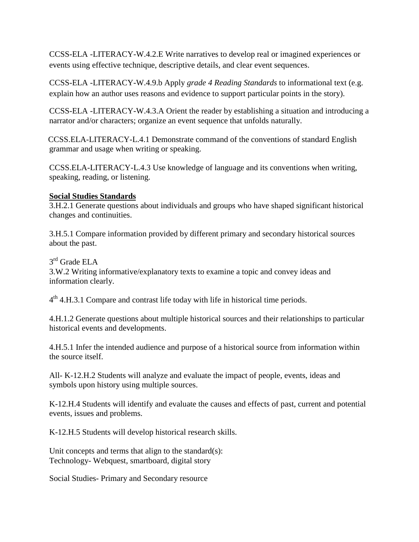events using effective technique, descriptive details, and clear event sequences. CCSS-ELA -LITERACY-W.4.2.E Write narratives to develop real or imagined experiences or

events using effective technique, descriptive details, and clear event sequences. CCSS-ELA -LITERACY-W.4.9.b Apply *grade 4 Reading Standards* to informational text (e.g. explain how an author uses reasons and evidence to support particular points in the story).

 CCSS-ELA -LITERACY-W.4.3.A Orient the reader by establishing a situation and introducing a narrator and/or characters; organize an event sequence that unfolds naturally.

CCSS.ELA-LITERACY-L.4.1 Demonstrate command of the conventions of standard English grammar and usage when writing or speaking.

CCSS.ELA-LITERACY-L.4.3 Use knowledge of language and its conventions when writing, speaking, reading, or listening.

### **Social Studies Standards**

changes and continuities. 3.H.2.1 Generate questions about individuals and groups who have shaped significant historical

3.H.5.1 Compare information provided by different primary and secondary historical sources about the past.

3<sup>rd</sup> Grade ELA

3.W.2 Writing informative/explanatory texts to examine a topic and convey ideas and information clearly.

 $4<sup>th</sup>$  4.H.3.1 Compare and contrast life today with life in historical time periods.

4.H.1.2 Generate questions about multiple historical sources and their relationships to particular historical events and developments.

4.H.5.1 Infer the intended audience and purpose of a historical source from information within the source itself.

All- K-12.H.2 Students will analyze and evaluate the impact of people, events, ideas and symbols upon history using multiple sources.

K-12.H.4 Students will identify and evaluate the causes and effects of past, current and potential events, issues and problems.

K-12.H.5 Students will develop historical research skills.

Unit concepts and terms that align to the standard(s): Technology- Webquest, smartboard, digital story

Social Studies- Primary and Secondary resource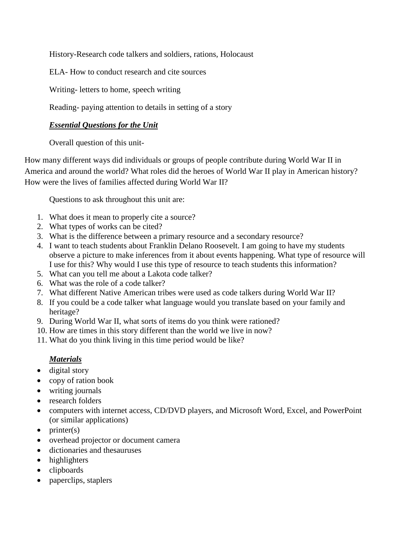History-Research code talkers and soldiers, rations, Holocaust

ELA- How to conduct research and cite sources

Writing- letters to home, speech writing

Reading- paying attention to details in setting of a story

### *Essential Questions for the Unit*

Overall question of this unit-

 America and around the world? What roles did the heroes of World War II play in American history? How many different ways did individuals or groups of people contribute during World War II in How were the lives of families affected during World War II?

Questions to ask throughout this unit are:

- 1. What does it mean to properly cite a source?
- 2. What types of works can be cited?
- 3. What is the difference between a primary resource and a secondary resource?
- 4. I want to teach students about Franklin Delano Roosevelt. I am going to have my students observe a picture to make inferences from it about events happening. What type of resource will I use for this? Why would I use this type of resource to teach students this information?
- 5. What can you tell me about a Lakota code talker?
- 6. What was the role of a code talker?
- 7. What different Native American tribes were used as code talkers during World War II?
- 8. If you could be a code talker what language would you translate based on your family and heritage?
- 9. During World War II, what sorts of items do you think were rationed?
- 10. How are times in this story different than the world we live in now?
- 11. What do you think living in this time period would be like?

### *Materials*

- digital story
- copy of ration book
- writing journals
- research folders
- computers with internet access, CD/DVD players, and Microsoft Word, Excel, and PowerPoint (or similar applications)
- $\bullet$  printer(s)
- overhead projector or document camera
- dictionaries and thesauruses
- highlighters
- clipboards
- paperclips, staplers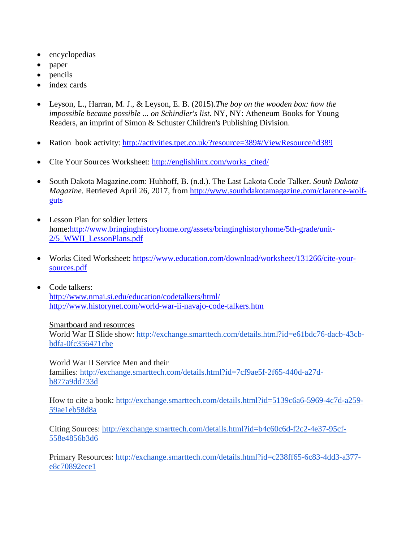- encyclopedias
- paper
- pencils
- index cards
- Leyson, L., Harran, M. J., & Leyson, E. B. (2015).*The boy on the wooden box: how the impossible became possible ... on Schindler's list*. NY, NY: Atheneum Books for Young Readers, an imprint of Simon & Schuster Children's Publishing Division.
- Ration book activity: http://activities.tpet.co.uk/?resource=389#/ViewResource/id389
- Cite Your Sources Worksheet: http://englishlinx.com/works\_cited/
- South Dakota Magazine.com: Huhhoff, B. (n.d.). The Last Lakota Code Talker. *South Dakota Magazine*. Retrieved April 26, 2017, from [http://www.southdakotamagazine.com/clarence-wolf](http://www.southdakotamagazine.com/clarence-wolf-guts)[guts](http://www.southdakotamagazine.com/clarence-wolf-guts)
- Lesson Plan for soldier letters home[:http://www.bringinghistoryhome.org/assets/bringinghistoryhome/5th-grade/unit-](http://www.bringinghistoryhome.org/assets/bringinghistoryhome/5th-grade/unit-2/5_WWII_LessonPlans.pdf)[2/5\\_WWII\\_LessonPlans.pdf](http://www.bringinghistoryhome.org/assets/bringinghistoryhome/5th-grade/unit-2/5_WWII_LessonPlans.pdf)
- Works Cited Worksheet: [https://www.education.com/download/worksheet/131266/cite-your](https://www.education.com/download/worksheet/131266/cite-your-sources.pdf)[sources.pdf](https://www.education.com/download/worksheet/131266/cite-your-sources.pdf)
- Code talkers: <http://www.nmai.si.edu/education/codetalkers/html/> <http://www.historynet.com/world-war-ii-navajo-code-talkers.htm>

### Smartboard and resources

World War II Slide show: [http://exchange.smarttech.com/details.html?id=e61bdc76-dacb-43cb](http://exchange.smarttech.com/details.html?id=e61bdc76-dacb-43cb-bdfa-0fc356471cbe)[bdfa-0fc356471cbe](http://exchange.smarttech.com/details.html?id=e61bdc76-dacb-43cb-bdfa-0fc356471cbe) 

World War II Service Men and their families: [http://exchange.smarttech.com/details.html?id=7cf9ae5f-2f65-440d-a27d](http://exchange.smarttech.com/details.html?id=7cf9ae5f-2f65-440d-a27d-b877a9dd733d)[b877a9dd733d](http://exchange.smarttech.com/details.html?id=7cf9ae5f-2f65-440d-a27d-b877a9dd733d) 

How to cite a book: [http://exchange.smarttech.com/details.html?id=5139c6a6-5969-4c7d-a259-](http://exchange.smarttech.com/details.html?id=5139c6a6-5969-4c7d-a259-59ae1eb58d8a) [59ae1eb58d8a](http://exchange.smarttech.com/details.html?id=5139c6a6-5969-4c7d-a259-59ae1eb58d8a) 

Citing Sources: [http://exchange.smarttech.com/details.html?id=b4c60c6d-f2c2-4e37-95cf-](http://exchange.smarttech.com/details.html?id=b4c60c6d-f2c2-4e37-95cf-558e4856b3d6)[558e4856b3d6](http://exchange.smarttech.com/details.html?id=b4c60c6d-f2c2-4e37-95cf-558e4856b3d6) 

Primary Resources: [http://exchange.smarttech.com/details.html?id=c238ff65-6c83-4dd3-a377](http://exchange.smarttech.com/details.html?id=c238ff65-6c83-4dd3-a377-e8c70892ece1) [e8c70892ece1](http://exchange.smarttech.com/details.html?id=c238ff65-6c83-4dd3-a377-e8c70892ece1)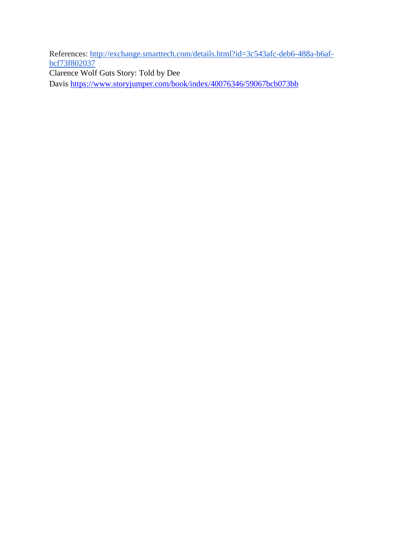References: [http://exchange.smarttech.com/details.html?id=3c543afc-deb6-488a-b6af](http://exchange.smarttech.com/details.html?id=3c543afc-deb6-488a-b6af-bcf73f802037)[bcf73f802037](http://exchange.smarttech.com/details.html?id=3c543afc-deb6-488a-b6af-bcf73f802037)  Clarence Wolf Guts Story: Told by Dee

Davis<https://www.storyjumper.com/book/index/40076346/59067bcb073bb>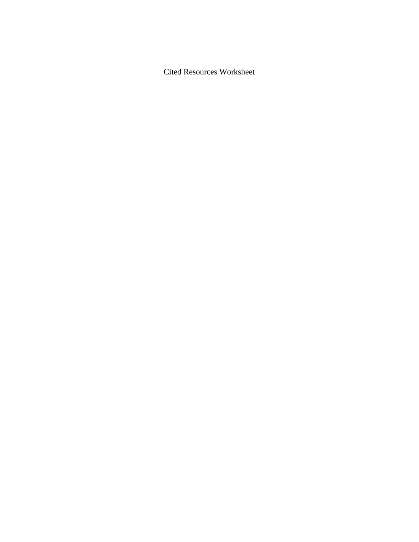Cited Resources Worksheet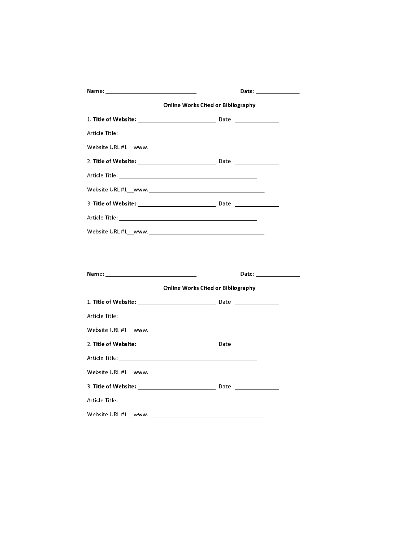| <b>Online Works Cited or Bibliography</b>                                                                                                                                                                                      |  |
|--------------------------------------------------------------------------------------------------------------------------------------------------------------------------------------------------------------------------------|--|
|                                                                                                                                                                                                                                |  |
|                                                                                                                                                                                                                                |  |
|                                                                                                                                                                                                                                |  |
|                                                                                                                                                                                                                                |  |
|                                                                                                                                                                                                                                |  |
|                                                                                                                                                                                                                                |  |
|                                                                                                                                                                                                                                |  |
|                                                                                                                                                                                                                                |  |
|                                                                                                                                                                                                                                |  |
|                                                                                                                                                                                                                                |  |
|                                                                                                                                                                                                                                |  |
|                                                                                                                                                                                                                                |  |
| Date: the contract of the contract of the contract of the contract of the contract of the contract of the contract of the contract of the contract of the contract of the contract of the contract of the contract of the cont |  |
| Online Works Cited or Bibliography                                                                                                                                                                                             |  |
|                                                                                                                                                                                                                                |  |
|                                                                                                                                                                                                                                |  |
|                                                                                                                                                                                                                                |  |
|                                                                                                                                                                                                                                |  |
|                                                                                                                                                                                                                                |  |
|                                                                                                                                                                                                                                |  |
|                                                                                                                                                                                                                                |  |
|                                                                                                                                                                                                                                |  |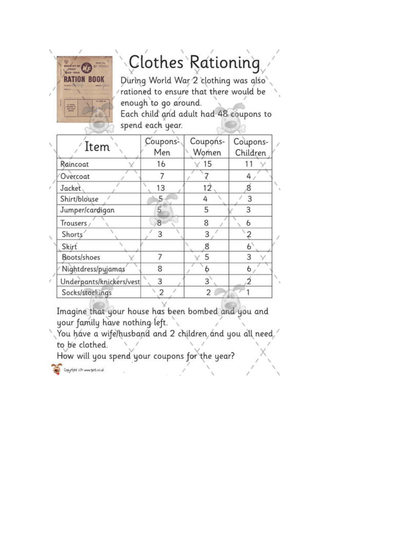## " = 1 *I* ,

# **I**, Clothes Rationing

RATION BOOK During World War 2 clothing was also rationed to ensure that there would be enough to go around. Each child and adult had 48 coupons to

spend each year.

| Item                     | Coupons-<br>Men | Coupons-<br>Women | Coupons-<br>Children |
|--------------------------|-----------------|-------------------|----------------------|
| Raincoat                 | 16              | 15                |                      |
| Overcoat                 |                 |                   |                      |
| Jacket,                  | 13              | 12                | 8                    |
| Shirt/blouse             | 5               | 4                 | 3                    |
| Jumper/cardigan          | 5               | 5                 | 3                    |
| Trousers <sub>/</sub>    | 8               | 8                 | 6                    |
| Shorts <sup>®</sup>      | 3               | 3                 |                      |
| Skirt                    |                 |                   | 6                    |
| Boots/shoes              |                 | 5                 |                      |
| Nightdress/pyjamas       | 8               |                   | 6                    |
| Underpants/knickers/vest | 3               | 3                 |                      |
| Socks/stockings          | 2               | 2                 |                      |

Imagine that your house has been bombed and you and your family have nothing left. ,

You have a wife/husband and 2 children and you all need,<sup>/</sup> to be clothed.

How will you spend your coupons for the year?

. *I* ' **"'r'.t:' ~,1.)1..,\_,-et,c,0,J:** \ / **"f** . \ *I* ' '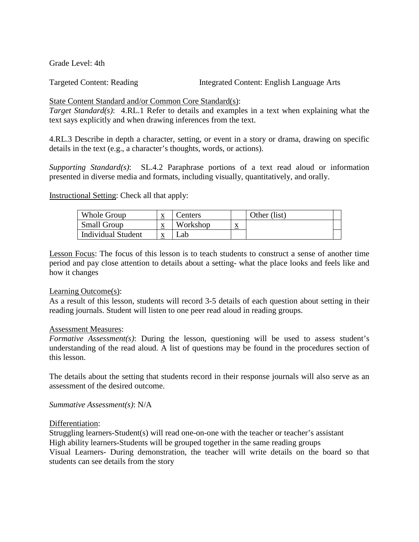Grade Level: 4th

**Targeted Content: Reading** 

Integrated Content: English Language Arts

### State Content Standard and/or Common Core Standard(s):

*Target Standard(s)*: 4.RL.1 Refer to details and examples in a text when explaining what the text says explicitly and when drawing inferences from the text.

4.RL.3 Describe in depth a character, setting, or event in a story or drama, drawing on specific details in the text (e.g., a character's thoughts, words, or actions).

*Supporting Standard(s)*: SL.4.2 Paraphrase portions of a text read aloud or information presented in diverse media and formats, including visually, quantitatively, and orally.

Instructional Setting: Check all that apply:

| <b>Small Group</b><br>Workshon<br>xr<br>$\Delta$<br>$\overline{v}$ | Whole Group               | xr<br>$\Lambda$ | enters | Other (list) |  |
|--------------------------------------------------------------------|---------------------------|-----------------|--------|--------------|--|
|                                                                    |                           |                 |        |              |  |
|                                                                    | <b>Individual Student</b> |                 | _ab    |              |  |

Lesson Focus: The focus of this lesson is to teach students to construct a sense of another time period and pay close attention to details about a setting- what the place looks and feels like and how it changes

### Learning Outcome(s):

As a result of this lesson, students will record 3-5 details of each question about setting in their reading journals. Student will listen to one peer read aloud in reading groups.

### Assessment Measures:

 understanding of the read aloud. A list of questions may be found in the procedures section of *Formative Assessment(s)*: During the lesson, questioning will be used to assess student's this lesson.

The details about the setting that students record in their response journals will also serve as an assessment of the desired outcome.

*Summative Assessment(s)*: N/A

### Differentiation:

Struggling learners-Student(s) will read one-on-one with the teacher or teacher's assistant High ability learners-Students will be grouped together in the same reading groups Visual Learners- During demonstration, the teacher will write details on the board so that students can see details from the story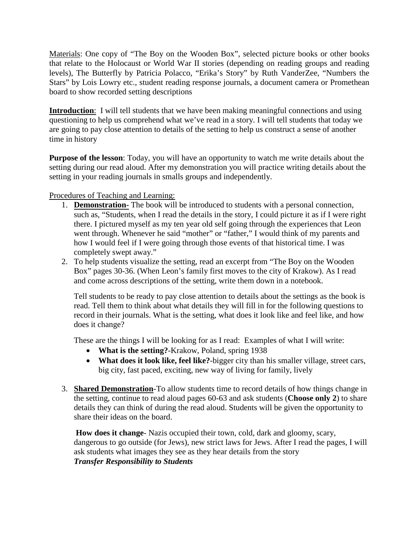that relate to the Holocaust or World War II stories (depending on reading groups and reading Stars" by Lois Lowry etc., student reading response journals, a document camera or Promethean Materials: One copy of "The Boy on the Wooden Box", selected picture books or other books levels), The Butterfly by Patricia Polacco, "Erika's Story" by Ruth VanderZee, "Numbers the board to show recorded setting descriptions

 **Introduction**: I will tell students that we have been making meaningful connections and using are going to pay close attention to details of the setting to help us construct a sense of another questioning to help us comprehend what we've read in a story. I will tell students that today we time in history

 setting in your reading journals in smalls groups and independently. **Purpose of the lesson**: Today, you will have an opportunity to watch me write details about the setting during our read aloud. After my demonstration you will practice writing details about the

Procedures of Teaching and Learning:

- such as, "Students, when I read the details in the story, I could picture it as if I were right went through. Whenever he said "mother" or "father," I would think of my parents and how I would feel if I were going through those events of that historical time. I was 1. **Demonstration-** The book will be introduced to students with a personal connection, there. I pictured myself as my ten year old self going through the experiences that Leon completely swept away."
- and come across descriptions of the setting, write them down in a notebook. 2. To help students visualize the setting, read an excerpt from "The Boy on the Wooden Box" pages 30-36. (When Leon's family first moves to the city of Krakow). As I read

 Tell students to be ready to pay close attention to details about the settings as the book is read. Tell them to think about what details they will fill in for the following questions to record in their journals. What is the setting, what does it look like and feel like, and how does it change?

These are the things I will be looking for as I read: Examples of what I will write:

- **What is the setting?**-Krakow, Poland, spring 1938
- **What does it look like, feel like?**-bigger city than his smaller village, street cars, big city, fast paced, exciting, new way of living for family, lively
- details they can think of during the read aloud. Students will be given the opportunity to 3. **Shared Demonstration**-To allow students time to record details of how things change in the setting, continue to read aloud pages 60-63 and ask students (**Choose only 2**) to share share their ideas on the board.

 dangerous to go outside (for Jews), new strict laws for Jews. After I read the pages, I will **How does it change**- Nazis occupied their town, cold, dark and gloomy, scary, ask students what images they see as they hear details from the story *Transfer Responsibility to Students*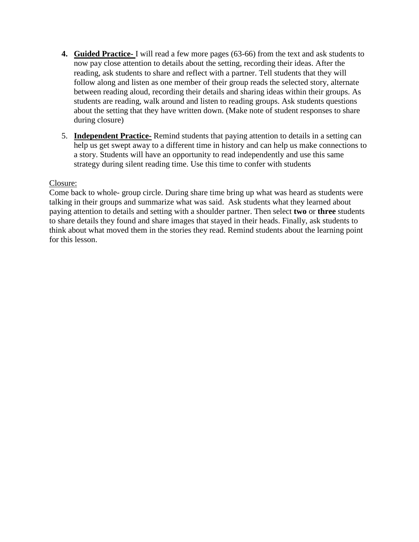- **4. Guided Practice-** I will read a few more pages (63-66) from the text and ask students to now pay close attention to details about the setting, recording their ideas. After the reading, ask students to share and reflect with a partner. Tell students that they will follow along and listen as one member of their group reads the selected story, alternate between reading aloud, recording their details and sharing ideas within their groups. As students are reading, walk around and listen to reading groups. Ask students questions about the setting that they have written down. (Make note of student responses to share during closure)
- 5. **Independent Practice-** Remind students that paying attention to details in a setting can help us get swept away to a different time in history and can help us make connections to a story. Students will have an opportunity to read independently and use this same strategy during silent reading time. Use this time to confer with students

### Closure:

 Come back to whole- group circle. During share time bring up what was heard as students were talking in their groups and summarize what was said. Ask students what they learned about paying attention to details and setting with a shoulder partner. Then select **two** or **three** students to share details they found and share images that stayed in their heads. Finally, ask students to think about what moved them in the stories they read. Remind students about the learning point for this lesson.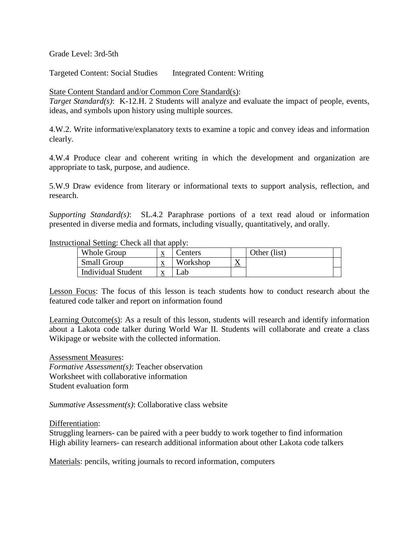Grade Level: 3rd-5th

Targeted Content: Social Studies Integrated Content: Writing

State Content Standard and/or Common Core Standard(s):

 *Target Standard(s)*: K-12.H. 2 Students will analyze and evaluate the impact of people, events, ideas, and symbols upon history using multiple sources.

4.W.2. Write informative/explanatory texts to examine a topic and convey ideas and information clearly.

4.W.4 Produce clear and coherent writing in which the development and organization are appropriate to task, purpose, and audience.

5.W.9 Draw evidence from literary or informational texts to support analysis, reflection, and research.

*Supporting Standard(s)*: SL.4.2 Paraphrase portions of a text read aloud or information presented in diverse media and formats, including visually, quantitatively, and orally.

### Instructional Setting: Check all that apply:

| Whole Group               | $\Lambda$ | enters   |           | Other (list) |  |
|---------------------------|-----------|----------|-----------|--------------|--|
| <b>Small Group</b>        | $\Delta$  | Workshop | $\Lambda$ |              |  |
| <b>Individual Student</b> |           | ∟ab      |           |              |  |

Lesson Focus: The focus of this lesson is teach students how to conduct research about the featured code talker and report on information found

Learning Outcome(s): As a result of this lesson, students will research and identify information about a Lakota code talker during World War II. Students will collaborate and create a class Wikipage or website with the collected information.

Assessment Measures: *Formative Assessment(s)*: Teacher observation

Worksheet with collaborative information Student evaluation form

*Summative Assessment(s)*: Collaborative class website

Differentiation:

Struggling learners- can be paired with a peer buddy to work together to find information High ability learners- can research additional information about other Lakota code talkers

Materials: pencils, writing journals to record information, computers